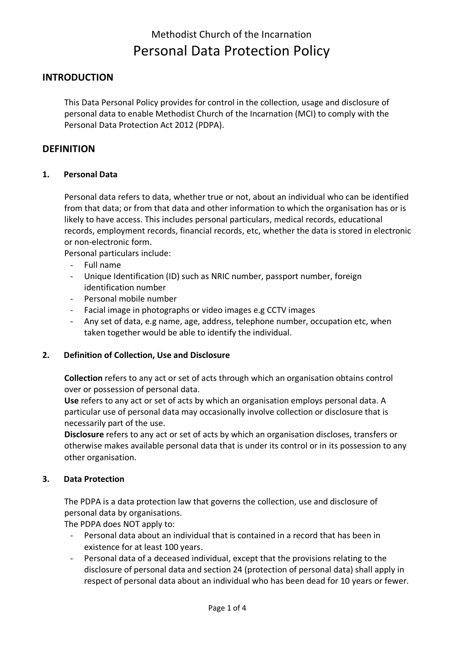# **INTRODUCTION**

This Data Personal Policy provides for control in the collection, usage and disclosure of personal data to enable Methodist Church of the Incarnation (MCI) to comply with the Personal Data Protection Act 2012 (PDPA).

## **DEFINITION**

### **1. Personal Data**

Personal data refers to data, whether true or not, about an individual who can be identified from that data; or from that data and other information to which the organisation has or is likely to have access. This includes personal particulars, medical records, educational records, employment records, financial records, etc, whether the data is stored in electronic or non-electronic form.

Personal particulars include:

- Full name
- Unique Identification (ID) such as NRIC number, passport number, foreign identification number
- Personal mobile number
- Facial image in photographs or video images e.g CCTV images
- Any set of data, e.g name, age, address, telephone number, occupation etc, when taken together would be able to identify the individual.

### **2. Definition of Collection, Use and Disclosure**

**Collection** refers to any act or set of acts through which an organisation obtains control over or possession of personal data.

**Use** refers to any act or set of acts by which an organisation employs personal data. A particular use of personal data may occasionally involve collection or disclosure that is necessarily part of the use.

**Disclosure** refers to any act or set of acts by which an organisation discloses, transfers or otherwise makes available personal data that is under its control or in its possession to any other organisation.

### **3. Data Protection**

The PDPA is a data protection law that governs the collection, use and disclosure of personal data by organisations.

The PDPA does NOT apply to:

- Personal data about an individual that is contained in a record that has been in existence for at least 100 years.
- Personal data of a deceased individual, except that the provisions relating to the disclosure of personal data and section 24 (protection of personal data) shall apply in respect of personal data about an individual who has been dead for 10 years or fewer.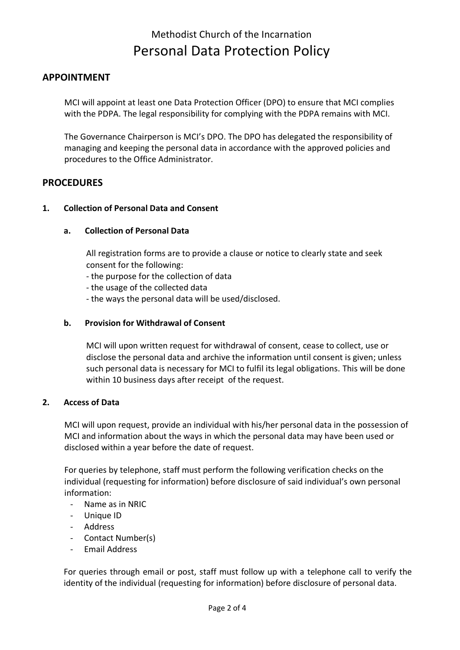# **APPOINTMENT**

MCI will appoint at least one Data Protection Officer (DPO) to ensure that MCI complies with the PDPA. The legal responsibility for complying with the PDPA remains with MCI.

The Governance Chairperson is MCI's DPO. The DPO has delegated the responsibility of managing and keeping the personal data in accordance with the approved policies and procedures to the Office Administrator.

# **PROCEDURES**

## **1. Collection of Personal Data and Consent**

## **a. Collection of Personal Data**

All registration forms are to provide a clause or notice to clearly state and seek consent for the following:

- the purpose for the collection of data
- the usage of the collected data
- the ways the personal data will be used/disclosed.

## **b. Provision for Withdrawal of Consent**

MCI will upon written request for withdrawal of consent, cease to collect, use or disclose the personal data and archive the information until consent is given; unless such personal data is necessary for MCI to fulfil its legal obligations. This will be done within 10 business days after receipt of the request.

## **2. Access of Data**

MCI will upon request, provide an individual with his/her personal data in the possession of MCI and information about the ways in which the personal data may have been used or disclosed within a year before the date of request.

For queries by telephone, staff must perform the following verification checks on the individual (requesting for information) before disclosure of said individual's own personal information:

- Name as in NRIC
- Unique ID
- Address
- Contact Number(s)
- Email Address

For queries through email or post, staff must follow up with a telephone call to verify the identity of the individual (requesting for information) before disclosure of personal data.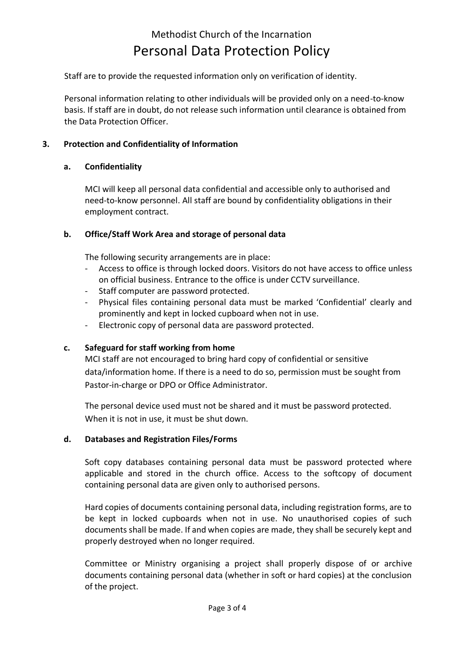Staff are to provide the requested information only on verification of identity.

Personal information relating to other individuals will be provided only on a need-to-know basis. If staff are in doubt, do not release such information until clearance is obtained from the Data Protection Officer.

## **3. Protection and Confidentiality of Information**

### **a. Confidentiality**

MCI will keep all personal data confidential and accessible only to authorised and need-to-know personnel. All staff are bound by confidentiality obligations in their employment contract.

### **b. Office/Staff Work Area and storage of personal data**

The following security arrangements are in place:

- Access to office is through locked doors. Visitors do not have access to office unless on official business. Entrance to the office is under CCTV surveillance.
- Staff computer are password protected.
- Physical files containing personal data must be marked 'Confidential' clearly and prominently and kept in locked cupboard when not in use.
- Electronic copy of personal data are password protected.

### **c. Safeguard for staff working from home**

MCI staff are not encouraged to bring hard copy of confidential or sensitive data/information home. If there is a need to do so, permission must be sought from Pastor-in-charge or DPO or Office Administrator.

The personal device used must not be shared and it must be password protected. When it is not in use, it must be shut down.

### **d. Databases and Registration Files/Forms**

Soft copy databases containing personal data must be password protected where applicable and stored in the church office. Access to the softcopy of document containing personal data are given only to authorised persons.

Hard copies of documents containing personal data, including registration forms, are to be kept in locked cupboards when not in use. No unauthorised copies of such documents shall be made. If and when copies are made, they shall be securely kept and properly destroyed when no longer required.

Committee or Ministry organising a project shall properly dispose of or archive documents containing personal data (whether in soft or hard copies) at the conclusion of the project.